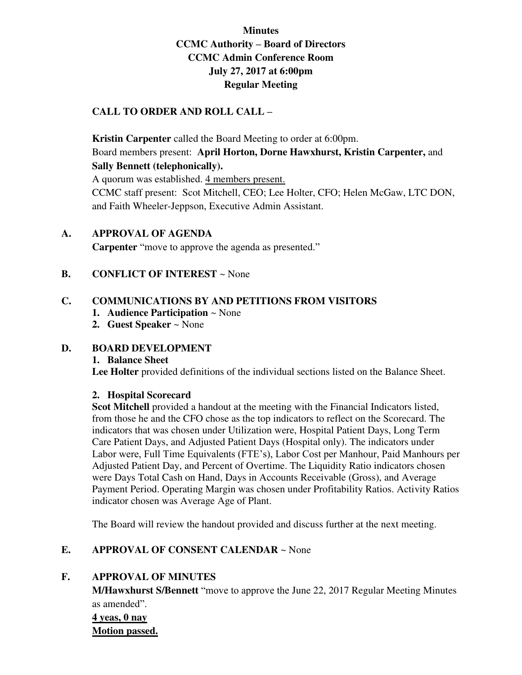# **Minutes CCMC Authority – Board of Directors CCMC Admin Conference Room July 27, 2017 at 6:00pm Regular Meeting**

### **CALL TO ORDER AND ROLL CALL –**

**Kristin Carpenter** called the Board Meeting to order at 6:00pm. Board members present: **April Horton, Dorne Hawxhurst, Kristin Carpenter,** and **Sally Bennett (telephonically).** 

A quorum was established. 4 members present.

CCMC staff present: Scot Mitchell, CEO; Lee Holter, CFO; Helen McGaw, LTC DON, and Faith Wheeler-Jeppson, Executive Admin Assistant.

### **A. APPROVAL OF AGENDA**

**Carpenter** "move to approve the agenda as presented."

### **B. CONFLICT OF INTEREST ~ None**

### **C. COMMUNICATIONS BY AND PETITIONS FROM VISITORS**

- **1. Audience Participation** ~ None
- **2. Guest Speaker** ~ None

### **D. BOARD DEVELOPMENT**

### **1. Balance Sheet**

**Lee Holter** provided definitions of the individual sections listed on the Balance Sheet.

### **2. Hospital Scorecard**

**Scot Mitchell** provided a handout at the meeting with the Financial Indicators listed, from those he and the CFO chose as the top indicators to reflect on the Scorecard. The indicators that was chosen under Utilization were, Hospital Patient Days, Long Term Care Patient Days, and Adjusted Patient Days (Hospital only). The indicators under Labor were, Full Time Equivalents (FTE's), Labor Cost per Manhour, Paid Manhours per Adjusted Patient Day, and Percent of Overtime. The Liquidity Ratio indicators chosen were Days Total Cash on Hand, Days in Accounts Receivable (Gross), and Average Payment Period. Operating Margin was chosen under Profitability Ratios. Activity Ratios indicator chosen was Average Age of Plant.

The Board will review the handout provided and discuss further at the next meeting.

### **E. APPROVAL OF CONSENT CALENDAR** ~ None

### **F. APPROVAL OF MINUTES**

**M/Hawxhurst S/Bennett** "move to approve the June 22, 2017 Regular Meeting Minutes as amended".

**4 yeas, 0 nay Motion passed.**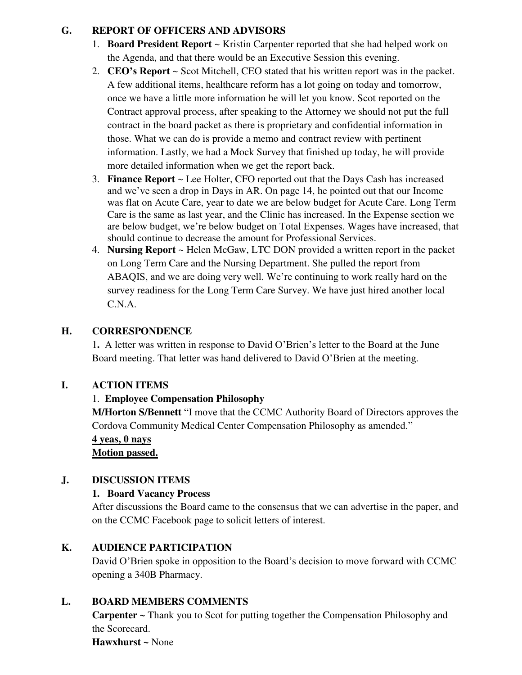## **G. REPORT OF OFFICERS AND ADVISORS**

- 1. **Board President Report** ~ Kristin Carpenter reported that she had helped work on the Agenda, and that there would be an Executive Session this evening.
- 2. **CEO's Report** ~ Scot Mitchell, CEO stated that his written report was in the packet. A few additional items, healthcare reform has a lot going on today and tomorrow, once we have a little more information he will let you know. Scot reported on the Contract approval process, after speaking to the Attorney we should not put the full contract in the board packet as there is proprietary and confidential information in those. What we can do is provide a memo and contract review with pertinent information. Lastly, we had a Mock Survey that finished up today, he will provide more detailed information when we get the report back.
- 3. **Finance Report** ~ Lee Holter, CFO reported out that the Days Cash has increased and we've seen a drop in Days in AR. On page 14, he pointed out that our Income was flat on Acute Care, year to date we are below budget for Acute Care. Long Term Care is the same as last year, and the Clinic has increased. In the Expense section we are below budget, we're below budget on Total Expenses. Wages have increased, that should continue to decrease the amount for Professional Services.
- 4. **Nursing Report** ~ Helen McGaw, LTC DON provided a written report in the packet on Long Term Care and the Nursing Department. She pulled the report from ABAQIS, and we are doing very well. We're continuing to work really hard on the survey readiness for the Long Term Care Survey. We have just hired another local C.N.A.

## **H. CORRESPONDENCE**

1**.** A letter was written in response to David O'Brien's letter to the Board at the June Board meeting. That letter was hand delivered to David O'Brien at the meeting.

## **I. ACTION ITEMS**

## 1. **Employee Compensation Philosophy**

**M/Horton S/Bennett** "I move that the CCMC Authority Board of Directors approves the Cordova Community Medical Center Compensation Philosophy as amended."

## **4 yeas, 0 nays**

**Motion passed.** 

## **J. DISCUSSION ITEMS**

## **1. Board Vacancy Process**

After discussions the Board came to the consensus that we can advertise in the paper, and on the CCMC Facebook page to solicit letters of interest.

## **K. AUDIENCE PARTICIPATION**

David O'Brien spoke in opposition to the Board's decision to move forward with CCMC opening a 340B Pharmacy.

## **L. BOARD MEMBERS COMMENTS**

**Carpenter ~** Thank you to Scot for putting together the Compensation Philosophy and the Scorecard.

**Hawxhurst ~** None